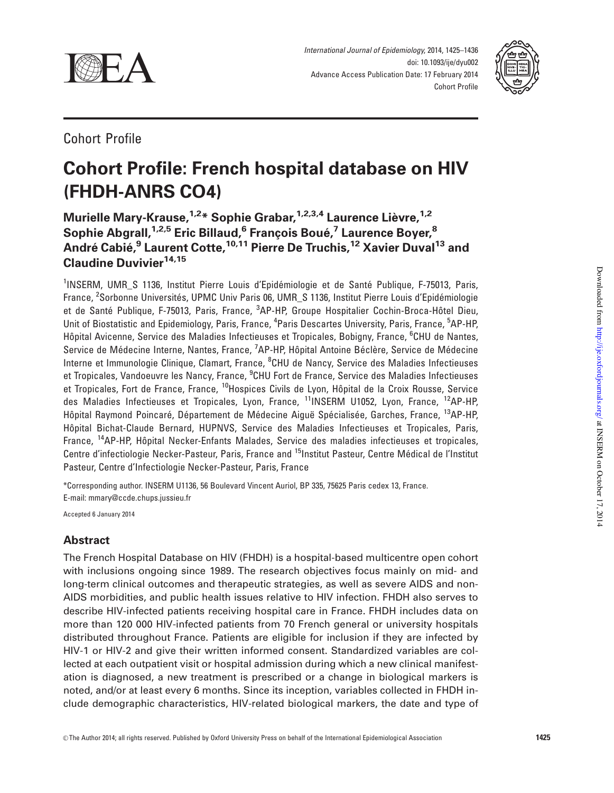

International Journal of Epidemiology, 2014, 1425–1436 doi: 10.1093/ije/dyu002 Advance Access Publication Date: 17 February 2014 Cohort Profile



# Cohort Profile

# Cohort Profile: French hospital database on HIV (FHDH-ANRS CO4)

# Murielle Mary-Krause, <sup>1,2\*</sup> Sophie Grabar, <sup>1,2,3,4</sup> Laurence Lièvre, <sup>1,2</sup> Sophie Abgrall,<sup>1,2,5</sup> Eric Billaud,<sup>6</sup> François Boué,<sup>7</sup> Laurence Boyer,<sup>8</sup> André Cabié,<sup>9</sup> Laurent Cotte,<sup>10,11</sup> Pierre De Truchis,<sup>12</sup> Xavier Duval<sup>13</sup> and Claudine Duvivier<sup>14,15</sup>

<sup>1</sup>INSERM, UMR\_S 1136, Institut Pierre Louis d'Epidémiologie et de Santé Publique, F-75013, Paris, France, <sup>2</sup>Sorbonne Universités, UPMC Univ Paris 06, UMR\_S 1136, Institut Pierre Louis d'Epidémiologie et de Santé Publique, F-75013, Paris, France, <sup>3</sup>AP-HP, Groupe Hospitalier Cochin-Broca-Hôtel Dieu, Unit of Biostatistic and Epidemiology, Paris, France, <sup>4</sup>Paris Descartes University, Paris, France, <sup>5</sup>AP-HP, Hôpital Avicenne, Service des Maladies Infectieuses et Tropicales, Bobigny, France, <sup>6</sup>CHU de Nantes, Service de Médecine Interne, Nantes, France, <sup>7</sup>AP-HP, Hôpital Antoine Béclère, Service de Médecine Interne et Immunologie Clinique, Clamart, France, <sup>8</sup>CHU de Nancy, Service des Maladies Infectieuses et Tropicales, Vandoeuvre les Nancy, France, <sup>9</sup>CHU Fort de France, Service des Maladies Infectieuses et Tropicales, Fort de France, France, <sup>10</sup>Hospices Civils de Lyon, Hôpital de la Croix Rousse, Service des Maladies Infectieuses et Tropicales, Lyon, France, <sup>11</sup>INSERM U1052, Lyon, France, <sup>12</sup>AP-HP, Hôpital Raymond Poincaré, Département de Médecine Aiguë Spécialisée, Garches, France, <sup>13</sup>AP-HP, Hôpital Bichat-Claude Bernard, HUPNVS, Service des Maladies Infectieuses et Tropicales. Paris. France, <sup>14</sup>AP-HP, Hôpital Necker-Enfants Malades, Service des maladies infectieuses et tropicales, Centre d'infectiologie Necker-Pasteur, Paris, France and <sup>15</sup>Institut Pasteur, Centre Médical de l'Institut Pasteur, Centre d'Infectiologie Necker-Pasteur, Paris, France

\*Corresponding author. INSERM U1136, 56 Boulevard Vincent Auriol, BP 335, 75625 Paris cedex 13, France. E-mail: mmary@ccde.chups.jussieu.fr

Accepted 6 January 2014

## Abstract

The French Hospital Database on HIV (FHDH) is a hospital-based multicentre open cohort with inclusions ongoing since 1989. The research objectives focus mainly on mid- and long-term clinical outcomes and therapeutic strategies, as well as severe AIDS and non-AIDS morbidities, and public health issues relative to HIV infection. FHDH also serves to describe HIV-infected patients receiving hospital care in France. FHDH includes data on more than 120 000 HIV-infected patients from 70 French general or university hospitals distributed throughout France. Patients are eligible for inclusion if they are infected by HIV-1 or HIV-2 and give their written informed consent. Standardized variables are collected at each outpatient visit or hospital admission during which a new clinical manifestation is diagnosed, a new treatment is prescribed or a change in biological markers is noted, and/or at least every 6 months. Since its inception, variables collected in FHDH include demographic characteristics, HIV-related biological markers, the date and type of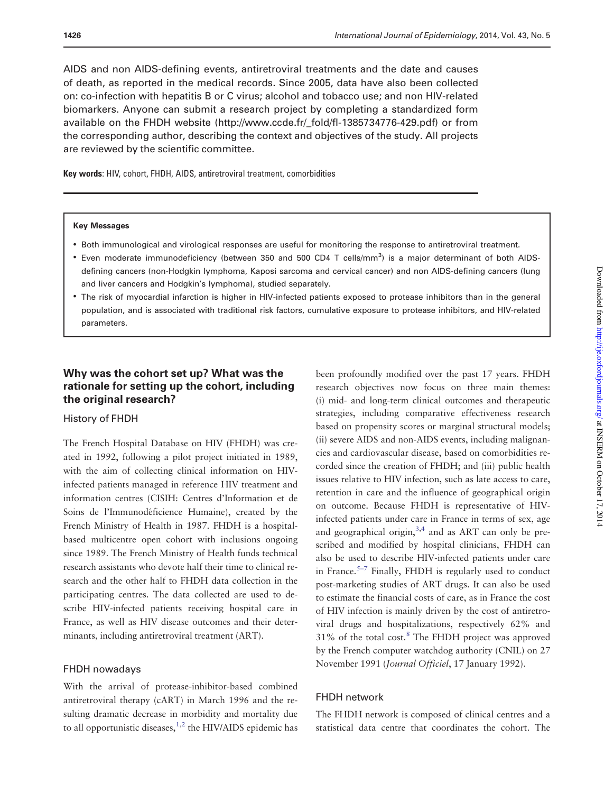AIDS and non AIDS-defining events, antiretroviral treatments and the date and causes of death, as reported in the medical records. Since 2005, data have also been collected on: co-infection with hepatitis B or C virus; alcohol and tobacco use; and non HIV-related biomarkers. Anyone can submit a research project by completing a standardized form available on the FHDH website ([http://www.ccde.fr/\\_fold/fl-1385734776-429.pdf\)](http://www.ccde.fr/_fold/fl-1385734776-429.pdf) or from the corresponding author, describing the context and objectives of the study. All projects are reviewed by the scientific committee.

Key words: HIV, cohort, FHDH, AIDS, antiretroviral treatment, comorbidities

#### Key Messages

- Both immunological and virological responses are useful for monitoring the response to antiretroviral treatment.
- Even moderate immunodeficiency (between 350 and 500 CD4 T cells/mm<sup>3</sup>) is a major determinant of both AIDSdefining cancers (non-Hodgkin lymphoma, Kaposi sarcoma and cervical cancer) and non AIDS-defining cancers (lung and liver cancers and Hodgkin's lymphoma), studied separately.
- The risk of myocardial infarction is higher in HIV-infected patients exposed to protease inhibitors than in the general population, and is associated with traditional risk factors, cumulative exposure to protease inhibitors, and HIV-related parameters.

## Why was the cohort set up? What was the rationale for setting up the cohort, including the original research?

#### History of FHDH

The French Hospital Database on HIV (FHDH) was created in 1992, following a pilot project initiated in 1989, with the aim of collecting clinical information on HIVinfected patients managed in reference HIV treatment and information centres (CISIH: Centres d'Information et de Soins de l'Immunodéficience Humaine), created by the French Ministry of Health in 1987. FHDH is a hospitalbased multicentre open cohort with inclusions ongoing since 1989. The French Ministry of Health funds technical research assistants who devote half their time to clinical research and the other half to FHDH data collection in the participating centres. The data collected are used to describe HIV-infected patients receiving hospital care in France, as well as HIV disease outcomes and their determinants, including antiretroviral treatment (ART).

## FHDH nowadays

With the arrival of protease-inhibitor-based combined antiretroviral therapy (cART) in March 1996 and the resulting dramatic decrease in morbidity and mortality due to all opportunistic diseases, $1,2$  the HIV/AIDS epidemic has

been profoundly modified over the past 17 years. FHDH research objectives now focus on three main themes: (i) mid- and long-term clinical outcomes and therapeutic strategies, including comparative effectiveness research based on propensity scores or marginal structural models; (ii) severe AIDS and non-AIDS events, including malignancies and cardiovascular disease, based on comorbidities recorded since the creation of FHDH; and (iii) public health issues relative to HIV infection, such as late access to care, retention in care and the influence of geographical origin on outcome. Because FHDH is representative of HIVinfected patients under care in France in terms of sex, age and geographical origin,  $3,4$  and as ART can only be prescribed and modified by hospital clinicians, FHDH can also be used to describe HIV-infected patients under care in France.<sup>5–7</sup> Finally, FHDH is regularly used to conduct post-marketing studies of ART drugs. It can also be used to estimate the financial costs of care, as in France the cost of HIV infection is mainly driven by the cost of antiretroviral drugs and hospitalizations, respectively 62% and  $31\%$  of the total cost.<sup>[8](#page-9-0)</sup> The FHDH project was approved by the French computer watchdog authority (CNIL) on 27 November 1991 (Journal Officiel, 17 January 1992).

## FHDH network

The FHDH network is composed of clinical centres and a statistical data centre that coordinates the cohort. The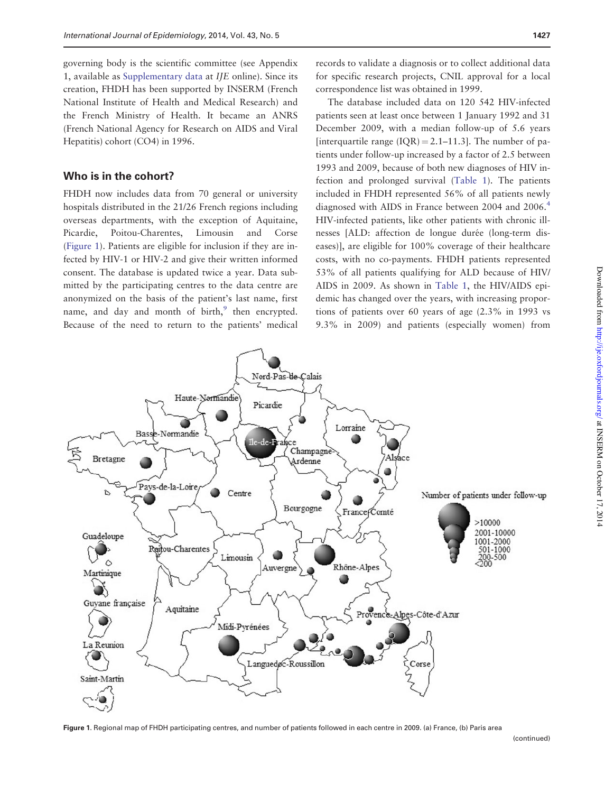governing body is the scientific committee (see Appendix 1, available as [Supplementary data](http://ije.oxfordjournals.org/lookup/suppl/doi:10.1093/ije/dyu002/-/DC1) at IJE online). Since its creation, FHDH has been supported by INSERM (French National Institute of Health and Medical Research) and the French Ministry of Health. It became an ANRS (French National Agency for Research on AIDS and Viral Hepatitis) cohort (CO4) in 1996.

## Who is in the cohort?

FHDH now includes data from 70 general or university hospitals distributed in the 21/26 French regions including overseas departments, with the exception of Aquitaine, Picardie, Poitou-Charentes, Limousin and Corse (Figure 1). Patients are eligible for inclusion if they are infected by HIV-1 or HIV-2 and give their written informed consent. The database is updated twice a year. Data submitted by the participating centres to the data centre are anonymized on the basis of the patient's last name, first name, and day and month of birth,<sup>[9](#page-9-0)</sup> then encrypted. Because of the need to return to the patients' medical

records to validate a diagnosis or to collect additional data for specific research projects, CNIL approval for a local correspondence list was obtained in 1999.

The database included data on 120 542 HIV-infected patients seen at least once between 1 January 1992 and 31 December 2009, with a median follow-up of 5.6 years [interquartile range  $(IQR) = 2.1-11.3$ ]. The number of patients under follow-up increased by a factor of 2.5 between 1993 and 2009, because of both new diagnoses of HIV infection and prolonged survival [\(Table 1](#page-4-0)). The patients included in FHDH represented 56% of all patients newly diagnosed with AIDS in France between 200[4](#page-9-0) and 2006.<sup>4</sup> HIV-infected patients, like other patients with chronic illnesses [ALD: affection de longue durée (long-term diseases)], are eligible for 100% coverage of their healthcare costs, with no co-payments. FHDH patients represented 53% of all patients qualifying for ALD because of HIV/ AIDS in 2009. As shown in [Table 1](#page-4-0), the HIV/AIDS epidemic has changed over the years, with increasing proportions of patients over 60 years of age (2.3% in 1993 vs 9.3% in 2009) and patients (especially women) from



Figure 1. Regional map of FHDH participating centres, and number of patients followed in each centre in 2009. (a) France, (b) Paris area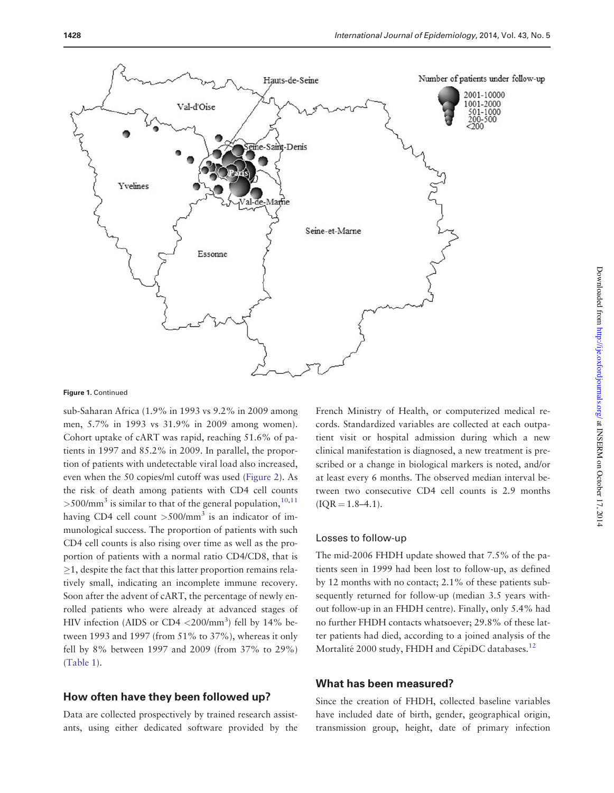

#### Figure 1. Continued

sub-Saharan Africa (1.9% in 1993 vs 9.2% in 2009 among men, 5.7% in 1993 vs 31.9% in 2009 among women). Cohort uptake of cART was rapid, reaching 51.6% of patients in 1997 and 85.2% in 2009. In parallel, the proportion of patients with undetectable viral load also increased, even when the 50 copies/ml cutoff was used [\(Figure 2](#page-5-0)). As the risk of death among patients with CD4 cell counts  $>500/\text{mm}^3$  is similar to that of the general population,  $10,11$ having CD4 cell count  $>500/\text{mm}^3$  is an indicator of immunological success. The proportion of patients with such CD4 cell counts is also rising over time as well as the proportion of patients with a normal ratio CD4/CD8, that is  $>1$ , despite the fact that this latter proportion remains relatively small, indicating an incomplete immune recovery. Soon after the advent of cART, the percentage of newly enrolled patients who were already at advanced stages of HIV infection (AIDS or CD4  $\langle 200/\text{mm}^3 \rangle$  fell by 14% between 1993 and 1997 (from 51% to 37%), whereas it only fell by 8% between 1997 and 2009 (from 37% to 29%) [\(Table 1](#page-4-0)).

## How often have they been followed up?

Data are collected prospectively by trained research assistants, using either dedicated software provided by the French Ministry of Health, or computerized medical records. Standardized variables are collected at each outpatient visit or hospital admission during which a new clinical manifestation is diagnosed, a new treatment is prescribed or a change in biological markers is noted, and/or at least every 6 months. The observed median interval between two consecutive CD4 cell counts is 2.9 months  $(IOR = 1.8-4.1).$ 

#### Losses to follow-up

The mid-2006 FHDH update showed that 7.5% of the patients seen in 1999 had been lost to follow-up, as defined by 12 months with no contact; 2.1% of these patients subsequently returned for follow-up (median 3.5 years without follow-up in an FHDH centre). Finally, only 5.4% had no further FHDH contacts whatsoever; 29.8% of these latter patients had died, according to a joined analysis of the Mortalité 2000 study, FHDH and CépiDC databases.<sup>12</sup>

## What has been measured?

Since the creation of FHDH, collected baseline variables have included date of birth, gender, geographical origin, transmission group, height, date of primary infection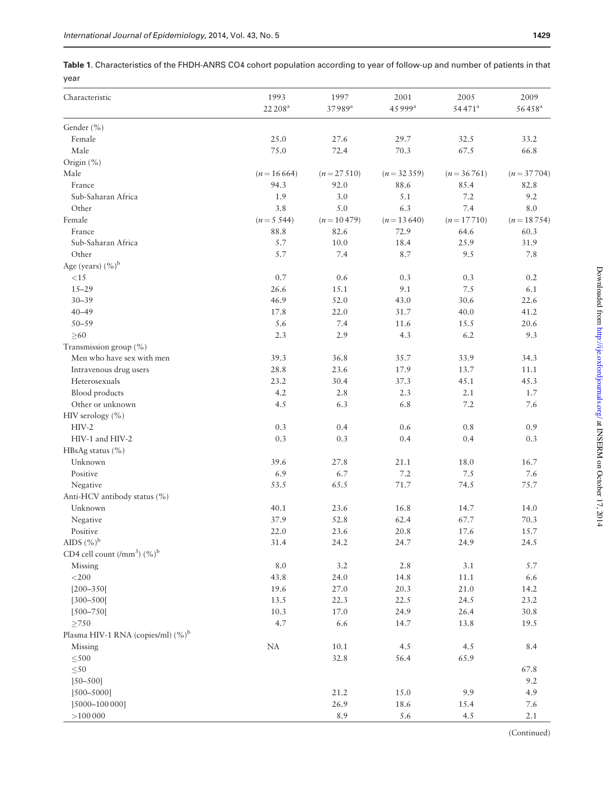<span id="page-4-0"></span>Table 1. Characteristics of the FHDH-ANRS CO4 cohort population according to year of follow-up and number of patients in that year

| Characteristic                            | 1993<br>22 208 <sup>a</sup> | 1997<br>37989ª | 2001<br>45 999 <sup>a</sup> | 2005<br>54471 <sup>a</sup> | 2009<br>56458 <sup>a</sup> |
|-------------------------------------------|-----------------------------|----------------|-----------------------------|----------------------------|----------------------------|
| Gender (%)                                |                             |                |                             |                            |                            |
| Female                                    | 25.0                        | 27.6           | 29.7                        | 32.5                       | 33.2                       |
| Male                                      | 75.0                        | 72.4           | 70.3                        | 67.5                       | 66.8                       |
| Origin (%)                                |                             |                |                             |                            |                            |
| Male                                      | $(n = 16664)$               | $(n = 27510)$  | $(n = 32359)$               | $(n = 36761)$              | $(n = 37704)$              |
| France                                    | 94.3                        | 92.0           | 88.6                        | 85.4                       | 82.8                       |
| Sub-Saharan Africa                        | 1.9                         | 3.0            | 5.1                         | 7.2                        | 9.2                        |
| Other                                     | 3.8                         | 5.0            | 6.3                         | 7.4                        | 8.0                        |
| Female                                    | $(n=5, 544)$                | $(n = 10479)$  | $(n = 13640)$               | $(n = 17710)$              | $(n = 18754)$              |
| France                                    | 88.8                        | 82.6           | 72.9                        | 64.6                       | 60.3                       |
| Sub-Saharan Africa                        | 5.7                         | 10.0           | 18.4                        | 25.9                       | 31.9                       |
| Other                                     | 5.7                         | 7.4            | 8.7                         | 9.5                        | 7.8                        |
|                                           |                             |                |                             |                            |                            |
| Age (years) $(\%)^b$                      |                             |                |                             |                            |                            |
| ${<}15$                                   | $0.7\,$                     | 0.6            | 0.3                         | 0.3                        | 0.2                        |
| $15 - 29$                                 | 26.6                        | 15.1           | 9.1                         | 7.5                        | 6.1                        |
| $30 - 39$                                 | 46.9                        | 52.0           | 43.0                        | 30.6                       | 22.6                       |
| $40 - 49$                                 | 17.8                        | 22.0           | 31.7                        | 40.0                       | 41.2                       |
| $50 - 59$                                 | 5.6                         | 7.4            | 11.6                        | 15.5                       | 20.6                       |
| $\geq 60$                                 | 2.3                         | 2.9            | 4.3                         | 6.2                        | 9.3                        |
| Transmission group (%)                    |                             |                |                             |                            |                            |
| Men who have sex with men                 | 39.3                        | 36.8           | 35.7                        | 33.9                       | 34.3                       |
| Intravenous drug users                    | 28.8                        | 23.6           | 17.9                        | 13.7                       | 11.1                       |
| Heterosexuals                             | 23.2                        | 30.4           | 37.3                        | 45.1                       | 45.3                       |
| Blood products                            | 4.2                         | 2.8            | 2.3                         | 2.1                        | 1.7                        |
| Other or unknown                          | 4.5                         | 6.3            | 6.8                         | 7.2                        | 7.6                        |
| HIV serology (%)                          |                             |                |                             |                            |                            |
| $HIV-2$                                   | 0.3                         | 0.4            | 0.6                         | 0.8                        | 0.9                        |
| HIV-1 and HIV-2                           | 0.3                         | 0.3            | 0.4                         | 0.4                        | 0.3                        |
| HBsAg status (%)                          |                             |                |                             |                            |                            |
| Unknown                                   | 39.6                        | 27.8           | 21.1                        | 18.0                       | 16.7                       |
| Positive                                  | 6.9                         | 6.7            | 7.2                         | 7.5                        | 7.6                        |
| Negative                                  | 53.5                        | 65.5           | 71.7                        | 74.5                       | 75.7                       |
| Anti-HCV antibody status (%)              |                             |                |                             |                            |                            |
| Unknown                                   | 40.1                        | 23.6           | 16.8                        | 14.7                       | 14.0                       |
| Negative                                  | 37.9                        | 52.8           | 62.4                        | 67.7                       | 70.3                       |
| Positive                                  | 22.0                        | 23.6           | 20.8                        | 17.6                       | 15.7                       |
| AIDS $(\%)^b$                             | 31.4                        | 24.2           | 24.7                        | 24.9                       | 24.5                       |
| CD4 cell count $(lmm^3)$ (%) <sup>b</sup> |                             |                |                             |                            |                            |
| Missing                                   | $8.0\,$                     | 3.2            | 2.8                         | 3.1                        | 5.7                        |
| $<$ 200 $\,$                              | 43.8                        | 24.0           | 14.8                        | $11.1\,$                   | $6.6\,$                    |
| $[200 - 350]$                             | 19.6                        | 27.0           | 20.3                        | 21.0                       | 14.2                       |
| $[300 - 500]$                             | 13.5                        | 22.3           | 22.5                        | 24.5                       | 23.2                       |
| $[500 - 750]$                             | 10.3                        | 17.0           | 24.9                        | 26.4                       | $30.8\,$                   |
| $\geq 750$                                | 4.7                         | 6.6            | 14.7                        | 13.8                       | 19.5                       |
| Plasma HIV-1 RNA (copies/ml) $(\%)^b$     |                             |                |                             |                            |                            |
|                                           |                             |                |                             |                            |                            |
| Missing                                   | $\rm NA$                    | $10.1\,$       | 4.5                         | 4.5                        | 8.4                        |
| $\leq 500$                                |                             | 32.8           | 56.4                        | 65.9                       |                            |
| $\leq 50$                                 |                             |                |                             |                            | 67.8                       |
| $]50 - 500]$                              |                             |                |                             |                            | 9.2                        |
| $[500 - 5000]$                            |                             | 21.2           | 15.0                        | 9.9                        | 4.9                        |
| ]5000-100 000]                            |                             | 26.9           | 18.6                        | 15.4                       | 7.6                        |
| >100000                                   |                             | 8.9            | 5.6                         | 4.5                        | $2.1\,$                    |

(Continued)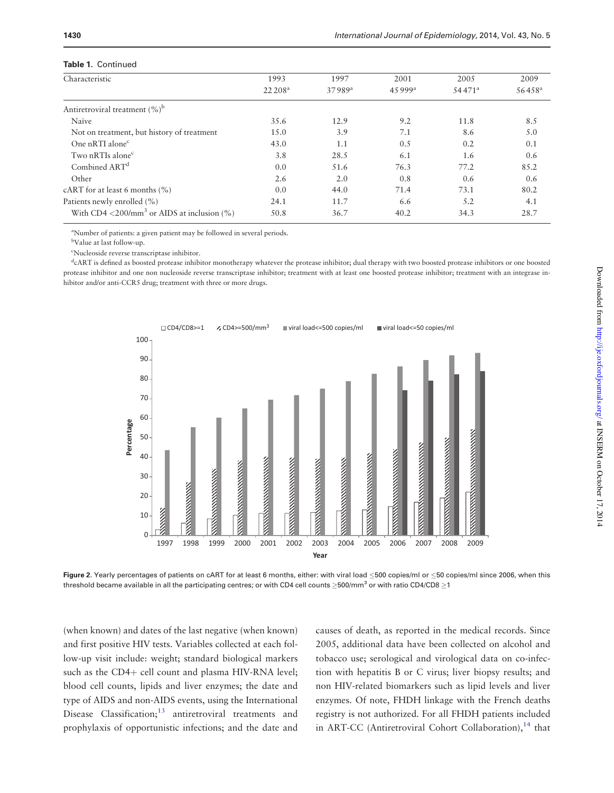#### <span id="page-5-0"></span>Table 1. Continued

| <b>IQUIC I.</b> CUILIILUCU                                      |                   |                    |         |           |                 |  |  |  |
|-----------------------------------------------------------------|-------------------|--------------------|---------|-----------|-----------------|--|--|--|
| Characteristic                                                  | 1993              | 1997               | 2001    | 2005      | 2009            |  |  |  |
|                                                                 | $22\,208^{\rm a}$ | 37989 <sup>a</sup> | 4.5999a | $54471^a$ | $56458^{\rm a}$ |  |  |  |
| Antiretroviral treatment $(\%)^b$                               |                   |                    |         |           |                 |  |  |  |
| Naïve                                                           | 35.6              | 12.9               | 9.2     | 11.8      | 8.5             |  |  |  |
| Not on treatment, but history of treatment                      | 15.0              | 3.9                | 7.1     | 8.6       | 5.0             |  |  |  |
| One nRTI alone <sup>c</sup>                                     | 43.0              | 1.1                | 0.5     | 0.2       | 0.1             |  |  |  |
| Two nRTIs alone <sup>c</sup>                                    | 3.8               | 28.5               | 6.1     | 1.6       | 0.6             |  |  |  |
| Combined ART <sup>d</sup>                                       | 0.0               | 51.6               | 76.3    | 77.2      | 85.2            |  |  |  |
| Other                                                           | 2.6               | 2.0                | 0.8     | 0.6       | 0.6             |  |  |  |
| cART for at least 6 months $(\% )$                              | 0.0               | 44.0               | 71.4    | 73.1      | 80.2            |  |  |  |
| Patients newly enrolled (%)                                     | 24.1              | 11.7               | 6.6     | 5.2       | 4.1             |  |  |  |
| With CD4 $\langle 200/mm^3 \text{ or AIDS at inclusion } (\% )$ | 50.8              | 36.7               | 40.2    | 34.3      | 28.7            |  |  |  |

<sup>a</sup>Number of patients: a given patient may be followed in several periods.

b Value at last follow-up.

c Nucleoside reverse transcriptase inhibitor.

d cART is defined as boosted protease inhibitor monotherapy whatever the protease inhibitor; dual therapy with two boosted protease inhibitors or one boosted protease inhibitor and one non nucleoside reverse transcriptase inhibitor; treatment with at least one boosted protease inhibitor; treatment with an integrase inhibitor and/or anti-CCR5 drug; treatment with three or more drugs.



Figure 2. Yearly percentages of patients on cART for at least 6 months, either: with viral load  $\leq$ 500 copies/ml or  $\leq$ 50 copies/ml since 2006, when this threshold became available in all the participating centres; or with CD4 cell counts  $\geq$ 500/mm<sup>3</sup> or with ratio CD4/CD8  $\geq$ 1

(when known) and dates of the last negative (when known) and first positive HIV tests. Variables collected at each follow-up visit include: weight; standard biological markers such as the CD4+ cell count and plasma HIV-RNA level; blood cell counts, lipids and liver enzymes; the date and type of AIDS and non-AIDS events, using the International Disease Classification; $13$  antiretroviral treatments and prophylaxis of opportunistic infections; and the date and causes of death, as reported in the medical records. Since 2005, additional data have been collected on alcohol and tobacco use; serological and virological data on co-infection with hepatitis B or C virus; liver biopsy results; and non HIV-related biomarkers such as lipid levels and liver enzymes. Of note, FHDH linkage with the French deaths registry is not authorized. For all FHDH patients included in ART-CC (Antiretroviral Cohort Collaboration), $14$  that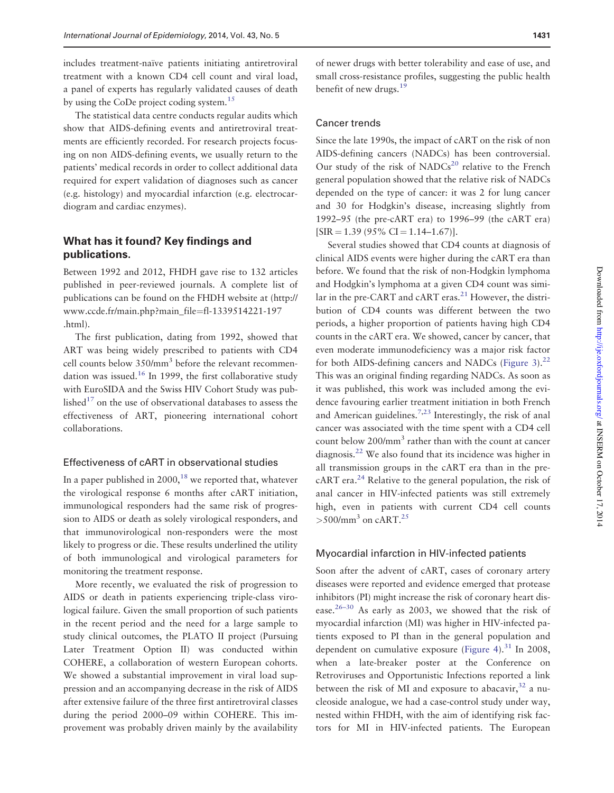includes treatment-naïve patients initiating antiretroviral treatment with a known CD4 cell count and viral load, a panel of experts has regularly validated causes of death by using the CoDe project coding system.<sup>[15](#page-10-0)</sup>

The statistical data centre conducts regular audits which show that AIDS-defining events and antiretroviral treatments are efficiently recorded. For research projects focusing on non AIDS-defining events, we usually return to the patients' medical records in order to collect additional data required for expert validation of diagnoses such as cancer (e.g. histology) and myocardial infarction (e.g. electrocardiogram and cardiac enzymes).

## What has it found? Key findings and publications.

Between 1992 and 2012, FHDH gave rise to 132 articles published in peer-reviewed journals. A complete list of publications can be found on the FHDH website at ([http://](http://www.ccde.fr/main.php?main_file=fl-1339514221-197.html) [www.ccde.fr/main.php?main\\_file](http://www.ccde.fr/main.php?main_file=fl-1339514221-197.html)=[fl-1339514221-197](http://www.ccde.fr/main.php?main_file=fl-1339514221-197.html) [.html](http://www.ccde.fr/main.php?main_file=fl-1339514221-197.html)).

The first publication, dating from 1992, showed that ART was being widely prescribed to patients with CD4 cell counts below 350/mm<sup>3</sup> before the relevant recommen-dation was issued.<sup>[16](#page-10-0)</sup> In 1999, the first collaborative study with EuroSIDA and the Swiss HIV Cohort Study was published $17$  on the use of observational databases to assess the effectiveness of ART, pioneering international cohort collaborations.

## Effectiveness of cART in observational studies

In a paper published in  $2000$ ,<sup>[18](#page-10-0)</sup> we reported that, whatever the virological response 6 months after cART initiation, immunological responders had the same risk of progression to AIDS or death as solely virological responders, and that immunovirological non-responders were the most likely to progress or die. These results underlined the utility of both immunological and virological parameters for monitoring the treatment response.

More recently, we evaluated the risk of progression to AIDS or death in patients experiencing triple-class virological failure. Given the small proportion of such patients in the recent period and the need for a large sample to study clinical outcomes, the PLATO II project (Pursuing Later Treatment Option II) was conducted within COHERE, a collaboration of western European cohorts. We showed a substantial improvement in viral load suppression and an accompanying decrease in the risk of AIDS after extensive failure of the three first antiretroviral classes during the period 2000–09 within COHERE. This improvement was probably driven mainly by the availability

of newer drugs with better tolerability and ease of use, and small cross-resistance profiles, suggesting the public health benefit of new drugs.<sup>19</sup>

## Cancer trends

Since the late 1990s, the impact of cART on the risk of non AIDS-defining cancers (NADCs) has been controversial. Our study of the risk of  $NADC<sup>20</sup>$  $NADC<sup>20</sup>$  $NADC<sup>20</sup>$  relative to the French general population showed that the relative risk of NADCs depended on the type of cancer: it was 2 for lung cancer and 30 for Hodgkin's disease, increasing slightly from 1992–95 (the pre-cART era) to 1996–99 (the cART era)  $[SIR = 1.39 (95\% CI = 1.14-1.67)].$ 

Several studies showed that CD4 counts at diagnosis of clinical AIDS events were higher during the cART era than before. We found that the risk of non-Hodgkin lymphoma and Hodgkin's lymphoma at a given CD4 count was similar in the pre-CART and cART eras. $^{21}$  $^{21}$  $^{21}$  However, the distribution of CD4 counts was different between the two periods, a higher proportion of patients having high CD4 counts in the cART era. We showed, cancer by cancer, that even moderate immunodeficiency was a major risk factor for both AIDS-defining cancers and NADCs [\(Figure 3\)](#page-7-0). $^{22}$ This was an original finding regarding NADCs. As soon as it was published, this work was included among the evidence favouring earlier treatment initiation in both French and American guidelines.<sup>[7](#page-9-0)[,23](#page-10-0)</sup> Interestingly, the risk of anal cancer was associated with the time spent with a CD4 cell count below 200/mm<sup>3</sup> rather than with the count at cancer diagnosis.[22](#page-10-0) We also found that its incidence was higher in all transmission groups in the cART era than in the precART era.<sup>24</sup> Relative to the general population, the risk of anal cancer in HIV-infected patients was still extremely high, even in patients with current CD4 cell counts  $>500/\text{mm}^3$  on cART.<sup>[25](#page-10-0)</sup>

#### Myocardial infarction in HIV-infected patients

Soon after the advent of cART, cases of coronary artery diseases were reported and evidence emerged that protease inhibitors (PI) might increase the risk of coronary heart disease.<sup>26–30</sup> As early as 2003, we showed that the risk of myocardial infarction (MI) was higher in HIV-infected patients exposed to PI than in the general population and dependent on cumulative exposure [\(Figure 4](#page-7-0)).<sup>31</sup> In 2008, when a late-breaker poster at the Conference on Retroviruses and Opportunistic Infections reported a link between the risk of MI and exposure to abacavir,  $32$  a nucleoside analogue, we had a case-control study under way, nested within FHDH, with the aim of identifying risk factors for MI in HIV-infected patients. The European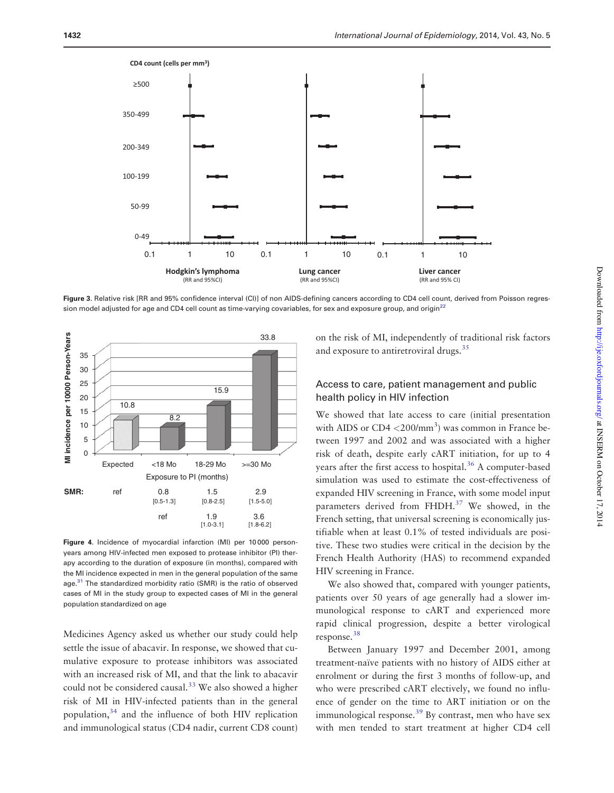<span id="page-7-0"></span>

Figure 3. Relative risk (RR and 95% confidence interval (CI)] of non AIDS-defining cancers according to CD4 cell count, derived from Poisson regression model adjusted for age and CD4 cell count as time-varying covariables, for sex and exposure group, and origin $^{22}$  $^{22}$  $^{22}$ 



Figure 4. Incidence of myocardial infarction (MI) per 10000 personyears among HIV-infected men exposed to protease inhibitor (PI) therapy according to the duration of exposure (in months), compared with the MI incidence expected in men in the general population of the same age.<sup>[31](#page-10-0)</sup> The standardized morbidity ratio (SMR) is the ratio of observed cases of MI in the study group to expected cases of MI in the general population standardized on age

Medicines Agency asked us whether our study could help settle the issue of abacavir. In response, we showed that cumulative exposure to protease inhibitors was associated with an increased risk of MI, and that the link to abacavir could not be considered causal.<sup>[33](#page-10-0)</sup> We also showed a higher risk of MI in HIV-infected patients than in the general population,  $34$  and the influence of both HIV replication and immunological status (CD4 nadir, current CD8 count) on the risk of MI, independently of traditional risk factors and exposure to antiretroviral drugs.<sup>[35](#page-10-0)</sup>

## Access to care, patient management and public health policy in HIV infection

We showed that late access to care (initial presentation with AIDS or CD4 <200/mm<sup>3</sup>) was common in France between 1997 and 2002 and was associated with a higher risk of death, despite early cART initiation, for up to 4 years after the first access to hospital.<sup>[36](#page-10-0)</sup> A computer-based simulation was used to estimate the cost-effectiveness of expanded HIV screening in France, with some model input parameters derived from FHDH.<sup>37</sup> We showed, in the French setting, that universal screening is economically justifiable when at least 0.1% of tested individuals are positive. These two studies were critical in the decision by the French Health Authority (HAS) to recommend expanded HIV screening in France.

We also showed that, compared with younger patients, patients over 50 years of age generally had a slower immunological response to cART and experienced more rapid clinical progression, despite a better virological response[.38](#page-10-0)

Between January 1997 and December 2001, among treatment-naïve patients with no history of AIDS either at enrolment or during the first 3 months of follow-up, and who were prescribed cART electively, we found no influence of gender on the time to ART initiation or on the immunological response.<sup>39</sup> By contrast, men who have sex with men tended to start treatment at higher CD4 cell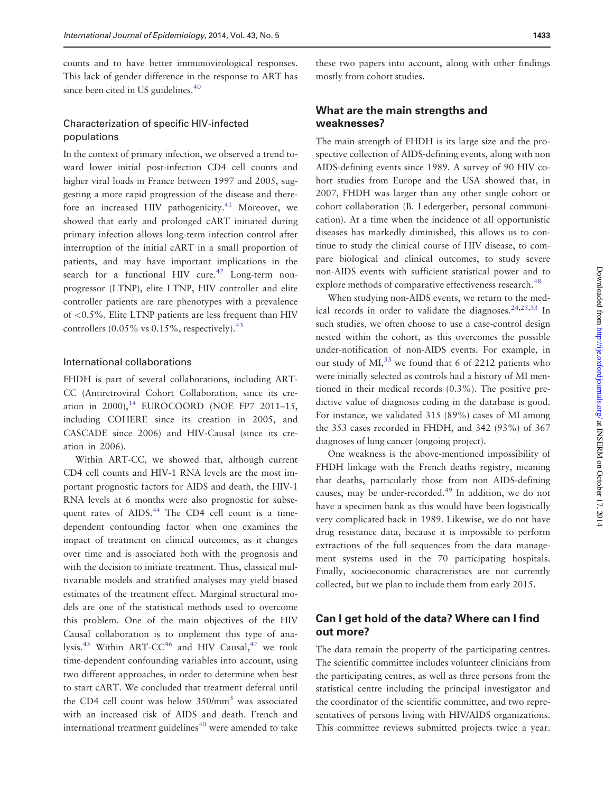counts and to have better immunovirological responses. This lack of gender difference in the response to ART has since been cited in US guidelines.<sup>[40](#page-10-0)</sup>

## Characterization of specific HIV-infected populations

In the context of primary infection, we observed a trend toward lower initial post-infection CD4 cell counts and higher viral loads in France between 1997 and 2005, suggesting a more rapid progression of the disease and there-fore an increased HIV pathogenicity.<sup>[41](#page-11-0)</sup> Moreover, we showed that early and prolonged cART initiated during primary infection allows long-term infection control after interruption of the initial cART in a small proportion of patients, and may have important implications in the search for a functional HIV cure.<sup>[42](#page-11-0)</sup> Long-term nonprogressor (LTNP), elite LTNP, HIV controller and elite controller patients are rare phenotypes with a prevalence of <0.5%. Elite LTNP patients are less frequent than HIV controllers  $(0.05\% \text{ vs } 0.15\%$ , respectively).<sup>[43](#page-11-0)</sup>

#### International collaborations

FHDH is part of several collaborations, including ART-CC (Antiretroviral Cohort Collaboration, since its creation in 2000), $^{14}$  EUROCOORD (NOE FP7 2011–15, including COHERE since its creation in 2005, and CASCADE since 2006) and HIV-Causal (since its creation in 2006).

Within ART-CC, we showed that, although current CD4 cell counts and HIV-1 RNA levels are the most important prognostic factors for AIDS and death, the HIV-1 RNA levels at 6 months were also prognostic for subsequent rates of AIDS.<sup>44</sup> The CD4 cell count is a timedependent confounding factor when one examines the impact of treatment on clinical outcomes, as it changes over time and is associated both with the prognosis and with the decision to initiate treatment. Thus, classical multivariable models and stratified analyses may yield biased estimates of the treatment effect. Marginal structural models are one of the statistical methods used to overcome this problem. One of the main objectives of the HIV Causal collaboration is to implement this type of ana-lysis.<sup>[45](#page-11-0)</sup> Within ART-CC<sup>[46](#page-11-0)</sup> and HIV Causal,<sup>[47](#page-11-0)</sup> we took time-dependent confounding variables into account, using two different approaches, in order to determine when best to start cART. We concluded that treatment deferral until the CD4 cell count was below  $350/\text{mm}^3$  was associated with an increased risk of AIDS and death. French and international treatment guidelines $40$  were amended to take

## What are the main strengths and weaknesses?

The main strength of FHDH is its large size and the prospective collection of AIDS-defining events, along with non AIDS-defining events since 1989. A survey of 90 HIV cohort studies from Europe and the USA showed that, in 2007, FHDH was larger than any other single cohort or cohort collaboration (B. Ledergerber, personal communication). At a time when the incidence of all opportunistic diseases has markedly diminished, this allows us to continue to study the clinical course of HIV disease, to compare biological and clinical outcomes, to study severe non-AIDS events with sufficient statistical power and to explore methods of comparative effectiveness research.<sup>48</sup>

When studying non-AIDS events, we return to the med-ical records in order to validate the diagnoses.<sup>[24,25,33](#page-10-0)</sup> In such studies, we often choose to use a case-control design nested within the cohort, as this overcomes the possible under-notification of non-AIDS events. For example, in our study of  $MI<sub>1</sub><sup>33</sup>$  $MI<sub>1</sub><sup>33</sup>$  $MI<sub>1</sub><sup>33</sup>$  we found that 6 of 2212 patients who were initially selected as controls had a history of MI mentioned in their medical records (0.3%). The positive predictive value of diagnosis coding in the database is good. For instance, we validated 315 (89%) cases of MI among the 353 cases recorded in FHDH, and 342 (93%) of 367 diagnoses of lung cancer (ongoing project).

One weakness is the above-mentioned impossibility of FHDH linkage with the French deaths registry, meaning that deaths, particularly those from non AIDS-defining causes, may be under-recorded.<sup>[49](#page-11-0)</sup> In addition, we do not have a specimen bank as this would have been logistically very complicated back in 1989. Likewise, we do not have drug resistance data, because it is impossible to perform extractions of the full sequences from the data management systems used in the 70 participating hospitals. Finally, socioeconomic characteristics are not currently collected, but we plan to include them from early 2015.

## Can I get hold of the data? Where can I find out more?

The data remain the property of the participating centres. The scientific committee includes volunteer clinicians from the participating centres, as well as three persons from the statistical centre including the principal investigator and the coordinator of the scientific committee, and two representatives of persons living with HIV/AIDS organizations. This committee reviews submitted projects twice a year.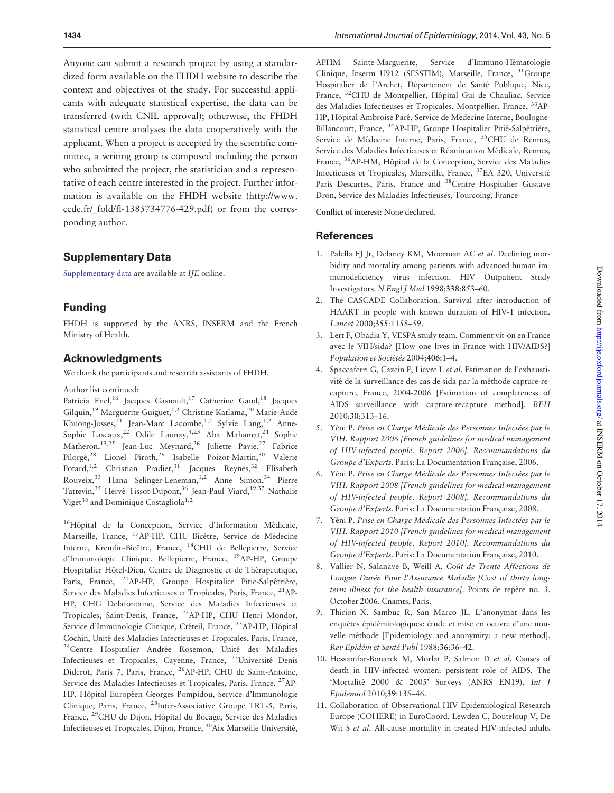<span id="page-9-0"></span>Anyone can submit a research project by using a standardized form available on the FHDH website to describe the context and objectives of the study. For successful applicants with adequate statistical expertise, the data can be transferred (with CNIL approval); otherwise, the FHDH statistical centre analyses the data cooperatively with the applicant. When a project is accepted by the scientific committee, a writing group is composed including the person who submitted the project, the statistician and a representative of each centre interested in the project. Further information is available on the FHDH website ([http://www.](http://www.ccde.fr/_fold/fl-1385734776-429.pdf) [ccde.fr/\\_fold/fl-1385734776-429.pdf\)](http://www.ccde.fr/_fold/fl-1385734776-429.pdf) or from the corresponding author.

## Supplementary Data

[Supplementary data](http://ije.oxfordjournals.org/lookup/suppl/doi:10.1093/ije/dyu002/-/DC1) are available at IJE online.

## Funding

FHDH is supported by the ANRS, INSERM and the French Ministry of Health.

## Acknowledgments

We thank the participants and research assistants of FHDH.

Author list continued:

Patricia Enel,<sup>16</sup> Jacques Gasnault,<sup>17</sup> Catherine Gaud,<sup>18</sup> Jacques Gilquin,<sup>19</sup> Marguerite Guiguet,1,2 Christine Katlama,20 Marie-Aude Khuong-Josses,<sup>21</sup> Jean-Marc Lacombe,<sup>1,2</sup> Sylvie Lang,<sup>1,2</sup> Anne-Sophie Lascaux,<sup>22</sup> Odile Launay,<sup>4,23</sup> Aba Mahamat,<sup>24</sup> Sophie Matheron,<sup>13,25</sup> Jean-Luc Meynard,<sup>26</sup> Juliette Pavie,<sup>27</sup> Fabrice Pilorgé,<sup>28</sup> Lionel Piroth,<sup>29</sup> Isabelle Poizot-Martin,<sup>30</sup> Valérie Potard,<sup>1,2</sup> Christian Pradier,<sup>31</sup> Jacques Reynes,<sup>32</sup> Elisabeth Rouveix,<sup>33</sup> Hana Selinger-Leneman,<sup>1,2</sup> Anne Simon,<sup>34</sup> Pierre Tattevin,<sup>35</sup> Hervé Tissot-Dupont,<sup>36</sup> Jean-Paul Viard,<sup>19,37</sup> Nathalie Viget<sup>38</sup> and Dominique Costagliola<sup>1,2</sup>

<sup>16</sup>Hôpital de la Conception, Service d'Information Médicale, Marseille, France, <sup>17</sup>AP-HP, CHU Bicêtre, Service de Médecine Interne, Kremlin-Bicêtre, France, <sup>18</sup>CHU de Bellepierre, Service d'Immunologie Clinique, Bellepierre, France, 19AP-HP, Groupe Hospitalier Hôtel-Dieu, Centre de Diagnostic et de Thérapeutique, Paris, France, <sup>20</sup>AP-HP, Groupe Hospitalier Pitié-Salpêtrière, Service des Maladies Infectieuses et Tropicales, Paris, France, 21AP-HP, CHG Delafontaine, Service des Maladies Infectieuses et Tropicales, Saint-Denis, France, 22AP-HP, CHU Henri Mondor, Service d'Immunologie Clinique, Créteil, France, <sup>23</sup>AP-HP, Hôpital Cochin, Unité des Maladies Infectieuses et Tropicales, Paris, France, <sup>24</sup>Centre Hospitalier Andrée Rosemon, Unité des Maladies Infectieuses et Tropicales, Cayenne, France, <sup>25</sup>Université Denis Diderot, Paris 7, Paris, France, 26AP-HP, CHU de Saint-Antoine, Service des Maladies Infectieuses et Tropicales, Paris, France, 27AP-HP, Hôpital Européen Georges Pompidou, Service d'Immunologie Clinique, Paris, France, 28Inter-Associative Groupe TRT-5, Paris, France, <sup>29</sup>CHU de Dijon, Hôpital du Bocage, Service des Maladies Infectieuses et Tropicales, Dijon, France, <sup>30</sup>Aix Marseille Université,

APHM Sainte-Marguerite, Service d'Immuno-Hématologie Clinique, Inserm U912 (SESSTIM), Marseille, France, <sup>31</sup>Groupe Hospitalier de l'Archet, Département de Santé Publique, Nice, France, <sup>32</sup>CHU de Montpellier, Hôpital Gui de Chauliac, Service des Maladies Infectieuses et Tropicales, Montpellier, France, 33AP-HP, Hôpital Ambroise Paré, Service de Médecine Interne, Boulogne-Billancourt, France, <sup>34</sup>AP-HP, Groupe Hospitalier Pitié-Salpêtrière, Service de Médecine Interne, Paris, France, <sup>35</sup>CHU de Rennes, Service des Maladies Infectieuses et Réanimation Médicale, Rennes, France, <sup>36</sup>AP-HM, Hôpital de la Conception, Service des Maladies Infectieuses et Tropicales, Marseille, France, 37EA 320, Universite´ Paris Descartes, Paris, France and 38Centre Hospitalier Gustave Dron, Service des Maladies Infectieuses, Tourcoing, France

Conflict of interest: None declared.

#### References

- 1. Palella FJ Jr, Delaney KM, Moorman AC et al. Declining morbidity and mortality among patients with advanced human immunodeficiency virus infection. HIV Outpatient Study Investigators. N Engl J Med 1998;338:853–60.
- 2. The CASCADE Collaboration. Survival after introduction of HAART in people with known duration of HIV-1 infection. Lancet 2000;355:1158–59.
- 3. Lert F, Obadia Y, VESPA study team. Comment vit-on en France avec le VIH/sida? [How one lives in France with HIV/AIDS?] Population et Sociétés 2004;406:1-4.
- 4. Spaccaferri G, Cazein F, Lièvre L et al. Estimation de l'exhaustivité de la surveillance des cas de sida par la méthode capture-recapture, France, 2004-2006 [Estimation of completeness of AIDS surveillance with capture-recapture method]. BEH 2010;30:313–16.
- 5. Yéni P. Prise en Charge Médicale des Personnes Infectées par le VIH. Rapport 2006 [French guidelines for medical management of HIV-infected people. Report 2006]. Recommandations du Groupe d'Experts. Paris: La Documentation Française, 2006.
- 6. Yéni P. Prise en Charge Médicale des Personnes Infectées par le VIH. Rapport 2008 [French guidelines for medical management of HIV-infected people. Report 2008]. Recommandations du Groupe d'Experts. Paris: La Documentation Française, 2008.
- 7. Yéni P. Prise en Charge Médicale des Personnes Infectées par le VIH. Rapport 2010 [French guidelines for medical management of HIV-infected people. Report 2010]. Recommandations du Groupe d'Experts. Paris: La Documentation Française, 2010.
- 8. Vallier N, Salanave B, Weill A. Coût de Trente Affections de Longue Durée Pour l'Assurance Maladie [Cost of thirty longterm illness for the health insurance]. Points de repère no. 3. October 2006. Cnamts, Paris.
- 9. Thirion X, Sambuc R, San Marco JL. L'anonymat dans les enquêtes épidémiologiques: étude et mise en oeuvre d'une nouvelle méthode [Epidemiology and anonymity: a new method]. Rev Epidém et Santé Publ 1988;36:36-42.
- 10. Hessamfar-Bonarek M, Morlat P, Salmon D et al. Causes of death in HIV-infected women: persistent role of AIDS. The 'Mortalité 2000 & 2005' Surveys (ANRS EN19). Int J Epidemiol 2010;39:135–46.
- 11. Collaboration of Observational HIV Epidemiological Research Europe (COHERE) in EuroCoord. Lewden C, Bouteloup V, De Wit S et al. All-cause mortality in treated HIV-infected adults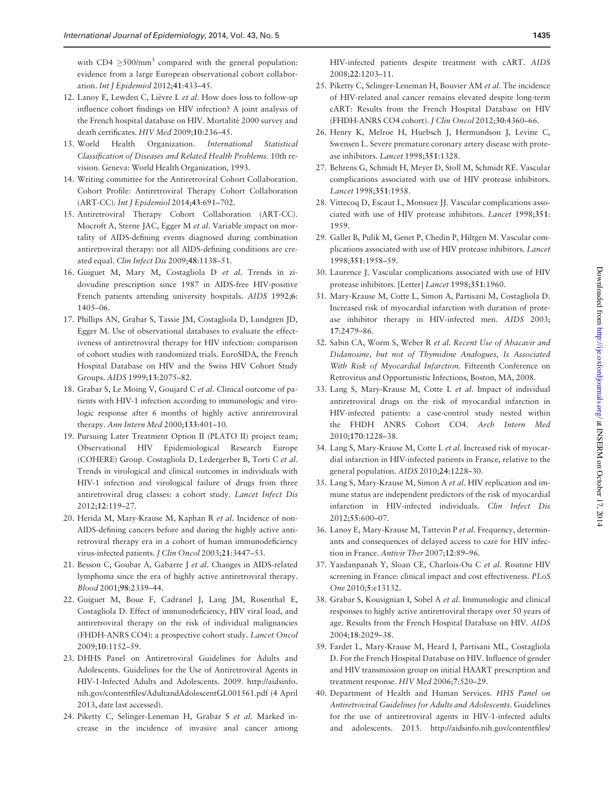<span id="page-10-0"></span>with  $CD4 > 500/mm^3$  compared with the general population: evidence from a large European observational cohort collaboration. Int J Epidemiol 2012;41:433–45.

- 12. Lanoy E, Lewden C, Lièvre L et al. How does loss to follow-up influence cohort findings on HIV infection? A joint analysis of the French hospital database on HIV. Mortalité 2000 survey and death certificates. HIV Med 2009;10:236–45.
- 13. World Health Organization. International Statistical Classification of Diseases and Related Health Problems. 10th revision. Geneva: World Health Organization, 1993.
- 14. Writing committee for the Antiretroviral Cohort Collaboration. Cohort Profile: Antiretroviral Therapy Cohort Collaboration (ART-CC). Int J Epidemiol 2014;43:691–702.
- 15. Antiretroviral Therapy Cohort Collaboration (ART-CC). Mocroft A, Sterne JAC, Egger M et al. Variable impact on mortality of AIDS-defining events diagnosed during combination antiretroviral therapy: not all AIDS-defining conditions are created equal. Clin Infect Dis 2009;48:1138–51.
- 16. Guiguet M, Mary M, Costagliola D et al. Trends in zidovudine prescription since 1987 in AIDS-free HIV-positive French patients attending university hospitals. AIDS 1992;6: 1405–06.
- 17. Phillips AN, Grabar S, Tassie JM, Costagliola D, Lundgren JD, Egger M. Use of observational databases to evaluate the effectiveness of antiretroviral therapy for HIV infection: comparison of cohort studies with randomized trials. EuroSIDA, the French Hospital Database on HIV and the Swiss HIV Cohort Study Groups. AIDS 1999;13:2075–82.
- 18. Grabar S, Le Moing V, Goujard C et al. Clinical outcome of patients with HIV-1 infection according to immunologic and virologic response after 6 months of highly active antiretroviral therapy. Ann Intern Med 2000;133:401–10.
- 19. Pursuing Later Treatment Option II (PLATO II) project team; Observational HIV Epidemiological Research Europe (COHERE) Group. Costagliola D, Ledergerber B, Torti C et al. Trends in virological and clinical outcomes in individuals with HIV-1 infection and virological failure of drugs from three antiretroviral drug classes: a cohort study. Lancet Infect Dis 2012;12:119–27.
- 20. Herida M, Mary-Krause M, Kaphan R et al. Incidence of non-AIDS-defining cancers before and during the highly active antiretroviral therapy era in a cohort of human immunodeficiency virus-infected patients. J Clin Oncol 2003;21:3447–53.
- 21. Besson C, Goubar A, Gabarre J et al. Changes in AIDS-related lymphoma since the era of highly active antiretroviral therapy. Blood 2001;98:2339–44.
- 22. Guiguet M, Boue F, Cadranel J, Lang JM, Rosenthal E, Costagliola D. Effect of immunodeficiency, HIV viral load, and antiretroviral therapy on the risk of individual malignancies (FHDH-ANRS CO4): a prospective cohort study. Lancet Oncol 2009;10:1152–59.
- 23. DHHS Panel on Antiretroviral Guidelines for Adults and Adolescents. Guidelines for the Use of Antiretroviral Agents in HIV-1-Infected Adults and Adolescents. 2009. [http://aidsinfo.](http://www.aidsinfo.nih.gov/contentfiles/AdultandAdolescentGL001561.pdf) [nih.gov/contentfiles/AdultandAdolescentGL001561.pdf](http://www.aidsinfo.nih.gov/contentfiles/AdultandAdolescentGL001561.pdf) (4 April 2013, date last accessed).
- 24. Piketty C, Selinger-Leneman H, Grabar S et al. Marked increase in the incidence of invasive anal cancer among

HIV-infected patients despite treatment with cART. AIDS 2008;22:1203–11.

- 25. Piketty C, Selinger-Leneman H, Bouvier AM et al. The incidence of HIV-related anal cancer remains elevated despite long-term cART: Results from the French Hospital Database on HIV (FHDH-ANRS CO4 cohort). J Clin Oncol 2012;30:4360–66.
- 26. Henry K, Melroe H, Huebsch J, Hermundson J, Levine C, Swensen L. Severe premature coronary artery disease with protease inhibitors. Lancet 1998;351:1328.
- 27. Behrens G, Schmidt H, Meyer D, Stoll M, Schmidt RE. Vascular complications associated with use of HIV protease inhibitors. Lancet 1998;351:1958.
- 28. Vittecoq D, Escaut L, Monsuez JJ. Vascular complications associated with use of HIV protease inhibitors. Lancet 1998;351: 1959.
- 29. Gallet B, Pulik M, Genet P, Chedin P, Hiltgen M. Vascular complications associated with use of HIV protease inhibitors. Lancet 1998;351:1958–59.
- 30. Laurence J. Vascular complications associated with use of HIV protease inhibitors. [Letter] Lancet 1998;351:1960.
- 31. Mary-Krause M, Cotte L, Simon A, Partisani M, Costagliola D. Increased risk of myocardial infarction with duration of protease inhibitor therapy in HIV-infected men. AIDS 2003; 17:2479–86.
- 32. Sabin CA, Worm S, Weber R et al. Recent Use of Abacavir and Didanosine, but not of Thymidine Analogues, Is Associated With Risk of Myocardial Infarction. Fifteenth Conference on Retrovirus and Opportunistic Infections, Boston, MA, 2008.
- 33. Lang S, Mary-Krause M, Cotte L et al. Impact of individual antiretroviral drugs on the risk of myocardial infarction in HIV-infected patients: a case-control study nested within the FHDH ANRS Cohort CO4. Arch Intern Med 2010;170:1228–38.
- 34. Lang S, Mary-Krause M, Cotte L et al. Increased risk of myocardial infarction in HIV-infected patients in France, relative to the general population. AIDS 2010;24:1228–30.
- 35. Lang S, Mary-Krause M, Simon A et al. HIV replication and immune status are independent predictors of the risk of myocardial infarction in HIV-infected individuals. Clin Infect Dis 2012;55:600–07.
- 36. Lanoy E, Mary-Krause M, Tattevin P et al. Frequency, determinants and consequences of delayed access to care for HIV infection in France. Antivir Ther 2007;12:89–96.
- 37. Yazdanpanah Y, Sloan CE, Charlois-Ou C et al. Routine HIV screening in France: clinical impact and cost effectiveness. PLoS One 2010;5:e13132.
- 38. Grabar S, Kousignian I, Sobel A et al. Immunologic and clinical responses to highly active antiretroviral therapy over 50 years of age. Results from the French Hospital Database on HIV. AIDS 2004;18:2029–38.
- 39. Fardet L, Mary-Krause M, Heard I, Partisani ML, Costagliola D. For the French Hospital Database on HIV. Influence of gender and HIV transmission group on initial HAART prescription and treatment response. HIV Med 2006;7:520–29.
- 40. Department of Health and Human Services. HHS Panel on Antiretroviral Guidelines for Adults and Adolescents. Guidelines for the use of antiretroviral agents in HIV-1-infected adults and adolescents. 2013. [http://aidsinfo.nih.gov/contentfiles/](http://www.aidsinfo.nih.gov/contentfiles/lvguidelines/adultandadolescentgl.pdf)